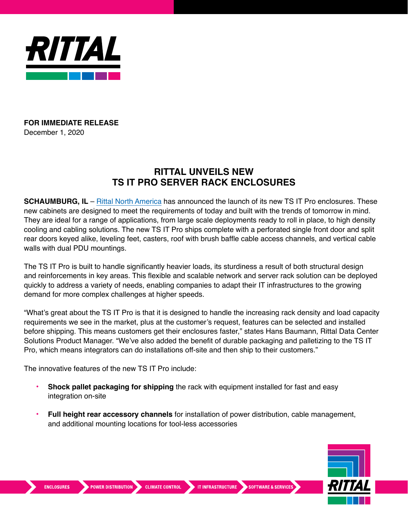

## **FOR IMMEDIATE RELEASE** December 1, 2020

## **RITTAL UNVEILS NEW TS IT PRO SERVER RACK ENCLOSURES**

**SCHAUMBURG, IL** – [Rittal North America](https://www.rittal.us/) has announced the launch of its new TS IT Pro enclosures. These new cabinets are designed to meet the requirements of today and built with the trends of tomorrow in mind. They are ideal for a range of applications, from large scale deployments ready to roll in place, to high density cooling and cabling solutions. The new TS IT Pro ships complete with a perforated single front door and split rear doors keyed alike, leveling feet, casters, roof with brush baffle cable access channels, and vertical cable walls with dual PDU mountings.

The TS IT Pro is built to handle significantly heavier loads, its sturdiness a result of both structural design and reinforcements in key areas. This flexible and scalable network and server rack solution can be deployed quickly to address a variety of needs, enabling companies to adapt their IT infrastructures to the growing demand for more complex challenges at higher speeds.

"What's great about the TS IT Pro is that it is designed to handle the increasing rack density and load capacity requirements we see in the market, plus at the customer's request, features can be selected and installed before shipping. This means customers get their enclosures faster," states Hans Baumann, Rittal Data Center Solutions Product Manager. "We've also added the benefit of durable packaging and palletizing to the TS IT Pro, which means integrators can do installations off-site and then ship to their customers."

The innovative features of the new TS IT Pro include:

- **• Shock pallet packaging for shipping** the rack with equipment installed for fast and easy integration on-site
- **• Full height rear accessory channels** for installation of power distribution, cable management, and additional mounting locations for tool-less accessories



**ENCLOSURES**